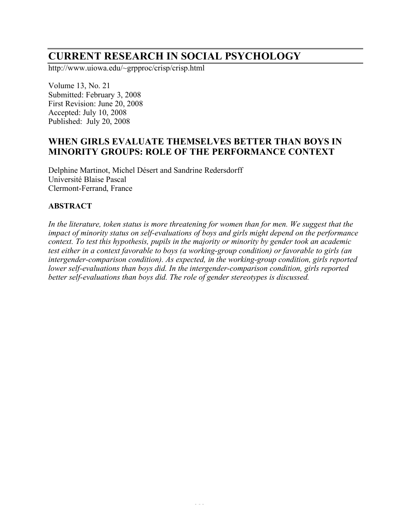# **CURRENT RESEARCH IN SOCIAL PSYCHOLOGY**

http://www.uiowa.edu/~grpproc/crisp/crisp.html

Volume 13, No. 21 Submitted: February 3, 2008 First Revision: June 20, 2008 Accepted: July 10, 2008 Published: July 20, 2008

## **WHEN GIRLS EVALUATE THEMSELVES BETTER THAN BOYS IN MINORITY GROUPS: ROLE OF THE PERFORMANCE CONTEXT**

Delphine Martinot, Michel Désert and Sandrine Redersdorff Université Blaise Pascal Clermont-Ferrand, France

## **ABSTRACT**

*In the literature, token status is more threatening for women than for men. We suggest that the impact of minority status on self-evaluations of boys and girls might depend on the performance context. To test this hypothesis, pupils in the majority or minority by gender took an academic test either in a context favorable to boys (a working-group condition) or favorable to girls (an intergender-comparison condition). As expected, in the working-group condition, girls reported lower self-evaluations than boys did. In the intergender-comparison condition, girls reported better self-evaluations than boys did. The role of gender stereotypes is discussed.*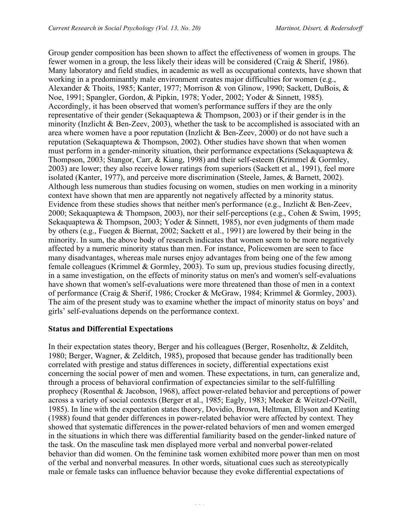Group gender composition has been shown to affect the effectiveness of women in groups. The fewer women in a group, the less likely their ideas will be considered (Craig & Sherif, 1986). Many laboratory and field studies, in academic as well as occupational contexts, have shown that working in a predominantly male environment creates major difficulties for women (e.g., Alexander & Thoits, 1985; Kanter, 1977; Morrison & von Glinow, 1990; Sackett, DuBois, & Noe, 1991; Spangler, Gordon, & Pipkin, 1978; Yoder, 2002; Yoder & Sinnett, 1985). Accordingly, it has been observed that women's performance suffers if they are the only representative of their gender (Sekaquaptewa & Thompson, 2003) or if their gender is in the minority (Inzlicht & Ben-Zeev, 2003), whether the task to be accomplished is associated with an area where women have a poor reputation (Inzlicht & Ben-Zeev, 2000) or do not have such a reputation (Sekaquaptewa & Thompson, 2002). Other studies have shown that when women must perform in a gender-minority situation, their performance expectations (Sekaquaptewa & Thompson, 2003; Stangor, Carr, & Kiang, 1998) and their self-esteem (Krimmel & Gormley, 2003) are lower; they also receive lower ratings from superiors (Sackett et al., 1991), feel more isolated (Kanter, 1977), and perceive more discrimination (Steele, James, & Barnett, 2002). Although less numerous than studies focusing on women, studies on men working in a minority context have shown that men are apparently not negatively affected by a minority status. Evidence from these studies shows that neither men's performance (e.g., Inzlicht & Ben-Zeev, 2000; Sekaquaptewa & Thompson, 2003), nor their self-perceptions (e.g., Cohen & Swim, 1995; Sekaquaptewa & Thompson, 2003; Yoder & Sinnett, 1985), nor even judgments of them made by others (e.g., Fuegen & Biernat, 2002; Sackett et al., 1991) are lowered by their being in the minority. In sum, the above body of research indicates that women seem to be more negatively affected by a numeric minority status than men. For instance, Policewomen are seen to face many disadvantages, whereas male nurses enjoy advantages from being one of the few among female colleagues (Krimmel & Gormley, 2003). To sum up, previous studies focusing directly, in a same investigation, on the effects of minority status on men's and women's self-evaluations have shown that women's self-evaluations were more threatened than those of men in a context of performance (Craig & Sherif, 1986; Crocker & McGraw, 1984; Krimmel & Gormley, 2003). The aim of the present study was to examine whether the impact of minority status on boys' and girls' self-evaluations depends on the performance context.

## **Status and Differential Expectations**

In their expectation states theory, Berger and his colleagues (Berger, Rosenholtz, & Zelditch, 1980; Berger, Wagner, & Zelditch, 1985), proposed that because gender has traditionally been correlated with prestige and status differences in society, differential expectations exist concerning the social power of men and women. These expectations, in turn, can generalize and, through a process of behavioral confirmation of expectancies similar to the self-fulfilling prophecy (Rosenthal & Jacobson, 1968), affect power-related behavior and perceptions of power across a variety of social contexts (Berger et al., 1985; Eagly, 1983; Meeker & Weitzel-O'Neill, 1985). In line with the expectation states theory, Dovidio, Brown, Heltman, Ellyson and Keating (1988) found that gender differences in power-related behavior were affected by context. They showed that systematic differences in the power-related behaviors of men and women emerged in the situations in which there was differential familiarity based on the gender-linked nature of the task. On the masculine task men displayed more verbal and nonverbal power-related behavior than did women. On the feminine task women exhibited more power than men on most of the verbal and nonverbal measures. In other words, situational cues such as stereotypically male or female tasks can influence behavior because they evoke differential expectations of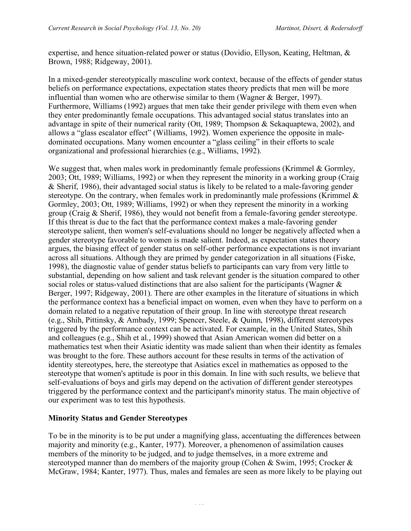expertise, and hence situation-related power or status (Dovidio, Ellyson, Keating, Heltman, & Brown, 1988; Ridgeway, 2001).

In a mixed-gender stereotypically masculine work context, because of the effects of gender status beliefs on performance expectations, expectation states theory predicts that men will be more influential than women who are otherwise similar to them (Wagner & Berger, 1997). Furthermore, Williams (1992) argues that men take their gender privilege with them even when they enter predominantly female occupations. This advantaged social status translates into an advantage in spite of their numerical rarity (Ott, 1989; Thompson & Sekaquaptewa, 2002), and allows a "glass escalator effect" (Williams, 1992). Women experience the opposite in maledominated occupations. Many women encounter a "glass ceiling" in their efforts to scale organizational and professional hierarchies (e.g., Williams, 1992).

We suggest that, when males work in predominantly female professions (Krimmel  $\&$  Gormley, 2003; Ott, 1989; Williams, 1992) or when they represent the minority in a working group (Craig & Sherif, 1986), their advantaged social status is likely to be related to a male-favoring gender stereotype. On the contrary, when females work in predominantly male professions (Krimmel & Gormley, 2003; Ott, 1989; Williams, 1992) or when they represent the minority in a working group (Craig & Sherif, 1986), they would not benefit from a female-favoring gender stereotype. If this threat is due to the fact that the performance context makes a male-favoring gender stereotype salient, then women's self-evaluations should no longer be negatively affected when a gender stereotype favorable to women is made salient. Indeed, as expectation states theory argues, the biasing effect of gender status on self-other performance expectations is not invariant across all situations. Although they are primed by gender categorization in all situations (Fiske, 1998), the diagnostic value of gender status beliefs to participants can vary from very little to substantial, depending on how salient and task relevant gender is the situation compared to other social roles or status-valued distinctions that are also salient for the participants (Wagner  $\&$ Berger, 1997; Ridgeway, 2001). There are other examples in the literature of situations in which the performance context has a beneficial impact on women, even when they have to perform on a domain related to a negative reputation of their group. In line with stereotype threat research (e.g., Shih, Pittinsky, & Ambady, 1999; Spencer, Steele, & Quinn, 1998), different stereotypes triggered by the performance context can be activated. For example, in the United States, Shih and colleagues (e.g., Shih et al., 1999) showed that Asian American women did better on a mathematics test when their Asiatic identity was made salient than when their identity as females was brought to the fore. These authors account for these results in terms of the activation of identity stereotypes, here, the stereotype that Asiatics excel in mathematics as opposed to the stereotype that women's aptitude is poor in this domain. In line with such results, we believe that self-evaluations of boys and girls may depend on the activation of different gender stereotypes triggered by the performance context and the participant's minority status. The main objective of our experiment was to test this hypothesis.

#### **Minority Status and Gender Stereotypes**

To be in the minority is to be put under a magnifying glass, accentuating the differences between majority and minority (e.g., Kanter, 1977). Moreover, a phenomenon of assimilation causes members of the minority to be judged, and to judge themselves, in a more extreme and stereotyped manner than do members of the majority group (Cohen & Swim, 1995; Crocker & McGraw, 1984; Kanter, 1977). Thus, males and females are seen as more likely to be playing out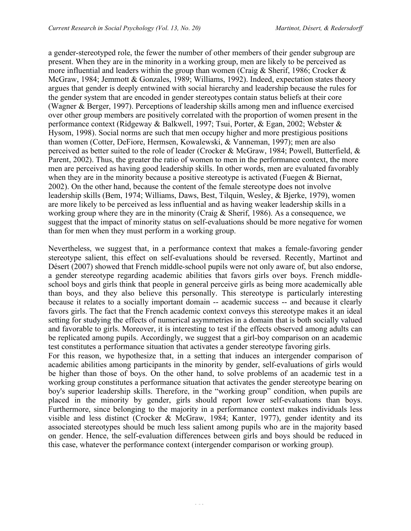a gender-stereotyped role, the fewer the number of other members of their gender subgroup are present. When they are in the minority in a working group, men are likely to be perceived as more influential and leaders within the group than women (Craig & Sherif, 1986; Crocker & McGraw, 1984; Jemmott & Gonzales, 1989; Williams, 1992). Indeed, expectation states theory argues that gender is deeply entwined with social hierarchy and leadership because the rules for the gender system that are encoded in gender stereotypes contain status beliefs at their core (Wagner & Berger, 1997). Perceptions of leadership skills among men and influence exercised over other group members are positively correlated with the proportion of women present in the performance context (Ridgeway & Balkwell, 1997; Tsui, Porter, & Egan, 2002; Webster & Hysom, 1998). Social norms are such that men occupy higher and more prestigious positions than women (Cotter, DeFiore, Hermsen, Kowalewski, & Vanneman, 1997); men are also perceived as better suited to the role of leader (Crocker & McGraw, 1984; Powell, Butterfield, & Parent, 2002). Thus, the greater the ratio of women to men in the performance context, the more men are perceived as having good leadership skills. In other words, men are evaluated favorably when they are in the minority because a positive stereotype is activated (Fuegen & Biernat, 2002). On the other hand, because the content of the female stereotype does not involve leadership skills (Bem, 1974; Williams, Daws, Best, Tilquin, Wesley, & Bjerke, 1979), women are more likely to be perceived as less influential and as having weaker leadership skills in a working group where they are in the minority (Craig & Sherif, 1986). As a consequence, we suggest that the impact of minority status on self-evaluations should be more negative for women than for men when they must perform in a working group.

Nevertheless, we suggest that, in a performance context that makes a female-favoring gender stereotype salient, this effect on self-evaluations should be reversed. Recently, Martinot and Désert (2007) showed that French middle-school pupils were not only aware of, but also endorse, a gender stereotype regarding academic abilities that favors girls over boys. French middleschool boys and girls think that people in general perceive girls as being more academically able than boys, and they also believe this personally. This stereotype is particularly interesting because it relates to a socially important domain -- academic success -- and because it clearly favors girls. The fact that the French academic context conveys this stereotype makes it an ideal setting for studying the effects of numerical asymmetries in a domain that is both socially valued and favorable to girls. Moreover, it is interesting to test if the effects observed among adults can be replicated among pupils. Accordingly, we suggest that a girl-boy comparison on an academic test constitutes a performance situation that activates a gender stereotype favoring girls.

For this reason, we hypothesize that, in a setting that induces an intergender comparison of academic abilities among participants in the minority by gender, self-evaluations of girls would be higher than those of boys. On the other hand, to solve problems of an academic test in a working group constitutes a performance situation that activates the gender stereotype bearing on boy's superior leadership skills. Therefore, in the "working group" condition, when pupils are placed in the minority by gender, girls should report lower self-evaluations than boys. Furthermore, since belonging to the majority in a performance context makes individuals less visible and less distinct (Crocker & McGraw, 1984; Kanter, 1977), gender identity and its associated stereotypes should be much less salient among pupils who are in the majority based on gender. Hence, the self-evaluation differences between girls and boys should be reduced in this case, whatever the performance context (intergender comparison or working group).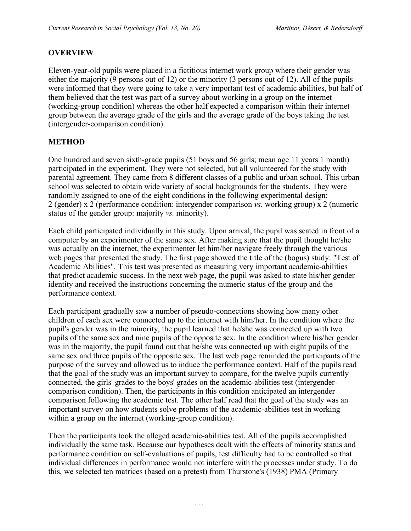#### **OVERVIEW**

Eleven-year-old pupils were placed in a fictitious internet work group where their gender was either the majority (9 persons out of 12) or the minority (3 persons out of 12). All of the pupils were informed that they were going to take a very important test of academic abilities, but half of them believed that the test was part of a survey about working in a group on the internet (working-group condition) whereas the other half expected a comparison within their internet group between the average grade of the girls and the average grade of the boys taking the test (intergender-comparison condition).

#### **METHOD**

One hundred and seven sixth-grade pupils (51 boys and 56 girls; mean age 11 years 1 month) participated in the experiment. They were not selected, but all volunteered for the study with parental agreement. They came from 8 different classes of a public and urban school. This urban school was selected to obtain wide variety of social backgrounds for the students. They were randomly assigned to one of the eight conditions in the following experimental design: 2 (gender) x 2 (performance condition: intergender comparison *vs.* working group) x 2 (numeric status of the gender group: majority *vs.* minority).

Each child participated individually in this study. Upon arrival, the pupil was seated in front of a computer by an experimenter of the same sex. After making sure that the pupil thought he/she was actually on the internet, the experimenter let him/her navigate freely through the various web pages that presented the study. The first page showed the title of the (bogus) study: "Test of Academic Abilities". This test was presented as measuring very important academic-abilities that predict academic success. In the next web page, the pupil was asked to state his/her gender identity and received the instructions concerning the numeric status of the group and the performance context.

Each participant gradually saw a number of pseudo-connections showing how many other children of each sex were connected up to the internet with him/her. In the condition where the pupil's gender was in the minority, the pupil learned that he/she was connected up with two pupils of the same sex and nine pupils of the opposite sex. In the condition where his/her gender was in the majority, the pupil found out that he/she was connected up with eight pupils of the same sex and three pupils of the opposite sex. The last web page reminded the participants of the purpose of the survey and allowed us to induce the performance context. Half of the pupils read that the goal of the study was an important survey to compare, for the twelve pupils currently connected, the girls' grades to the boys' grades on the academic-abilities test (intergendercomparison condition). Then, the participants in this condition anticipated an intergender comparison following the academic test. The other half read that the goal of the study was an important survey on how students solve problems of the academic-abilities test in working within a group on the internet (working-group condition).

Then the participants took the alleged academic-abilities test. All of the pupils accomplished individually the same task. Because our hypotheses dealt with the effects of minority status and performance condition on self-evaluations of pupils, test difficulty had to be controlled so that individual differences in performance would not interfere with the processes under study. To do this, we selected ten matrices (based on a pretest) from Thurstone's (1938) PMA (Primary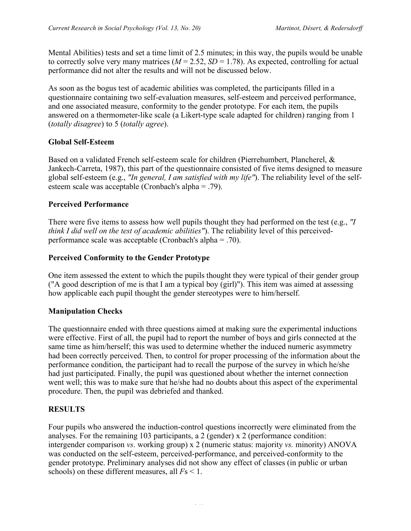Mental Abilities) tests and set a time limit of 2.5 minutes; in this way, the pupils would be unable to correctly solve very many matrices  $(M = 2.52, SD = 1.78)$ . As expected, controlling for actual performance did not alter the results and will not be discussed below.

As soon as the bogus test of academic abilities was completed, the participants filled in a questionnaire containing two self-evaluation measures, self-esteem and perceived performance, and one associated measure, conformity to the gender prototype. For each item, the pupils answered on a thermometer-like scale (a Likert-type scale adapted for children) ranging from 1 (*totally disagree*) to 5 (*totally agree*).

## **Global Self-Esteem**

Based on a validated French self-esteem scale for children (Pierrehumbert, Plancherel, & Jankech-Carreta, 1987), this part of the questionnaire consisted of five items designed to measure global self-esteem (e.g., *"In general, I am satisfied with my life"*). The reliability level of the selfesteem scale was acceptable (Cronbach's alpha = .79).

## **Perceived Performance**

There were five items to assess how well pupils thought they had performed on the test (e.g., *"I think I did well on the test of academic abilities"*). The reliability level of this perceivedperformance scale was acceptable (Cronbach's alpha = .70).

## **Perceived Conformity to the Gender Prototype**

One item assessed the extent to which the pupils thought they were typical of their gender group ("A good description of me is that I am a typical boy (girl)"). This item was aimed at assessing how applicable each pupil thought the gender stereotypes were to him/herself.

#### **Manipulation Checks**

The questionnaire ended with three questions aimed at making sure the experimental inductions were effective. First of all, the pupil had to report the number of boys and girls connected at the same time as him/herself; this was used to determine whether the induced numeric asymmetry had been correctly perceived. Then, to control for proper processing of the information about the performance condition, the participant had to recall the purpose of the survey in which he/she had just participated. Finally, the pupil was questioned about whether the internet connection went well; this was to make sure that he/she had no doubts about this aspect of the experimental procedure. Then, the pupil was debriefed and thanked.

## **RESULTS**

Four pupils who answered the induction-control questions incorrectly were eliminated from the analyses. For the remaining 103 participants, a 2 (gender) x 2 (performance condition: intergender comparison *vs*. working group) x 2 (numeric status: majority *vs.* minority) ANOVA was conducted on the self-esteem, perceived-performance, and perceived-conformity to the gender prototype. Preliminary analyses did not show any effect of classes (in public or urban schools) on these different measures, all *F*s < 1.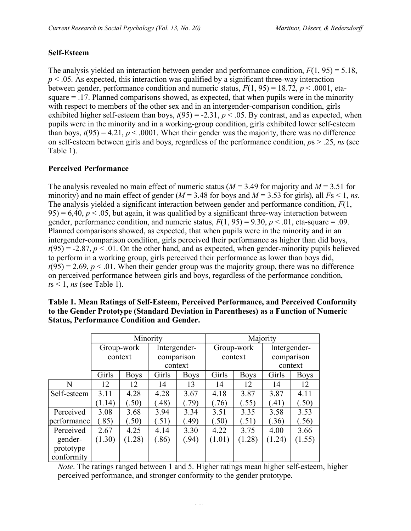## **Self-Esteem**

The analysis yielded an interaction between gender and performance condition, *F*(1, 95) = 5.18,  $p < .05$ . As expected, this interaction was qualified by a significant three-way interaction between gender, performance condition and numeric status,  $F(1, 95) = 18.72$ ,  $p < .0001$ , etasquare = .17. Planned comparisons showed, as expected, that when pupils were in the minority with respect to members of the other sex and in an intergender-comparison condition, girls exhibited higher self-esteem than boys,  $t(95) = -2.31$ ,  $p < .05$ . By contrast, and as expected, when pupils were in the minority and in a working-group condition, girls exhibited lower self-esteem than boys,  $t(95) = 4.21$ ,  $p < .0001$ . When their gender was the majority, there was no difference on self-esteem between girls and boys, regardless of the performance condition, *p*s > .25, *ns* (see Table 1).

## **Perceived Performance**

The analysis revealed no main effect of numeric status ( $M = 3.49$  for majority and  $M = 3.51$  for minority) and no main effect of gender ( $M = 3.48$  for boys and  $M = 3.53$  for girls), all  $Fs < 1$ , *ns*. The analysis yielded a significant interaction between gender and performance condition, *F*(1,  $95$ ) = 6,40,  $p < 0.05$ , but again, it was qualified by a significant three-way interaction between gender, performance condition, and numeric status,  $F(1, 95) = 9.30$ ,  $p < .01$ , eta-square = .09. Planned comparisons showed, as expected, that when pupils were in the minority and in an intergender-comparison condition, girls perceived their performance as higher than did boys,  $t(95) = -2.87$ ,  $p < 0.01$ . On the other hand, and as expected, when gender-minority pupils believed to perform in a working group, girls perceived their performance as lower than boys did,  $t(95) = 2.69$ ,  $p < 0.01$ . When their gender group was the majority group, there was no difference on perceived performance between girls and boys, regardless of the performance condition, *, <i>ns* (see Table 1).

|             | Minority   |             |              |             | Majority   |             |              |             |
|-------------|------------|-------------|--------------|-------------|------------|-------------|--------------|-------------|
|             | Group-work |             | Intergender- |             | Group-work |             | Intergender- |             |
|             | context    |             | comparison   |             | context    |             | comparison   |             |
|             |            |             | context      |             |            |             | context      |             |
|             | Girls      | <b>Boys</b> | Girls        | <b>Boys</b> | Girls      | <b>Boys</b> | Girls        | <b>Boys</b> |
| N           | 12         | 12          | 14           | 13          | 14         | 12          | 14           | 12          |
| Self-esteem | 3.11       | 4.28        | 4.28         | 3.67        | 4.18       | 3.87        | 3.87         | 4.11        |
|             | (1.14)     | (.50)       | (.48)        | (79)        | (76)       | (.55)       | (.41)        | (.50)       |
| Perceived   | 3.08       | 3.68        | 3.94         | 3.34        | 3.51       | 3.35        | 3.58         | 3.53        |
| performance | (.85)      | (.50)       | (.51)        | (.49)       | (.50)      | (.51)       | (.36)        | (.56)       |
| Perceived   | 2.67       | 4.25        | 4.14         | 3.30        | 4.22       | 3.75        | 4.00         | 3.66        |
| gender-     | (1.30)     | (1.28)      | (.86)        | (.94)       | (1.01)     | (1.28)      | (1.24)       | (1.55)      |
| prototype   |            |             |              |             |            |             |              |             |
| conformity  |            |             |              |             |            |             |              |             |

**Table 1. Mean Ratings of Self-Esteem, Perceived Performance, and Perceived Conformity to the Gender Prototype (Standard Deviation in Parentheses) as a Function of Numeric Status, Performance Condition and Gender.**

*Note*. The ratings ranged between 1 and 5. Higher ratings mean higher self-esteem, higher perceived performance, and stronger conformity to the gender prototype.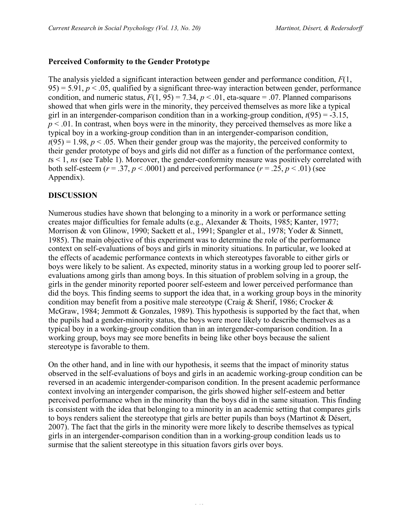## **Perceived Conformity to the Gender Prototype**

The analysis yielded a significant interaction between gender and performance condition, *F*(1,  $95$ ) = 5.91,  $p < 0.05$ , qualified by a significant three-way interaction between gender, performance condition, and numeric status,  $F(1, 95) = 7.34$ ,  $p < .01$ , eta-square = .07. Planned comparisons showed that when girls were in the minority, they perceived themselves as more like a typical girl in an intergender-comparison condition than in a working-group condition,  $t(95) = -3.15$ ,  $p < 0.01$ . In contrast, when boys were in the minority, they perceived themselves as more like a typical boy in a working-group condition than in an intergender-comparison condition,  $t(95) = 1.98$ ,  $p < .05$ . When their gender group was the majority, the perceived conformity to their gender prototype of boys and girls did not differ as a function of the performance context, *t*s < 1, *ns* (see Table 1). Moreover, the gender-conformity measure was positively correlated with both self-esteem ( $r = .37$ ,  $p < .0001$ ) and perceived performance ( $r = .25$ ,  $p < .01$ ) (see Appendix).

## **DISCUSSION**

Numerous studies have shown that belonging to a minority in a work or performance setting creates major difficulties for female adults (e.g., Alexander & Thoits, 1985; Kanter, 1977; Morrison & von Glinow, 1990; Sackett et al., 1991; Spangler et al., 1978; Yoder & Sinnett, 1985). The main objective of this experiment was to determine the role of the performance context on self-evaluations of boys and girls in minority situations. In particular, we looked at the effects of academic performance contexts in which stereotypes favorable to either girls or boys were likely to be salient. As expected, minority status in a working group led to poorer selfevaluations among girls than among boys. In this situation of problem solving in a group, the girls in the gender minority reported poorer self-esteem and lower perceived performance than did the boys. This finding seems to support the idea that, in a working group boys in the minority condition may benefit from a positive male stereotype (Craig & Sherif, 1986; Crocker & McGraw, 1984; Jemmott & Gonzales, 1989). This hypothesis is supported by the fact that, when the pupils had a gender-minority status, the boys were more likely to describe themselves as a typical boy in a working-group condition than in an intergender-comparison condition. In a working group, boys may see more benefits in being like other boys because the salient stereotype is favorable to them.

On the other hand, and in line with our hypothesis, it seems that the impact of minority status observed in the self-evaluations of boys and girls in an academic working-group condition can be reversed in an academic intergender-comparison condition. In the present academic performance context involving an intergender comparison, the girls showed higher self-esteem and better perceived performance when in the minority than the boys did in the same situation. This finding is consistent with the idea that belonging to a minority in an academic setting that compares girls to boys renders salient the stereotype that girls are better pupils than boys (Martinot & Désert, 2007). The fact that the girls in the minority were more likely to describe themselves as typical girls in an intergender-comparison condition than in a working-group condition leads us to surmise that the salient stereotype in this situation favors girls over boys.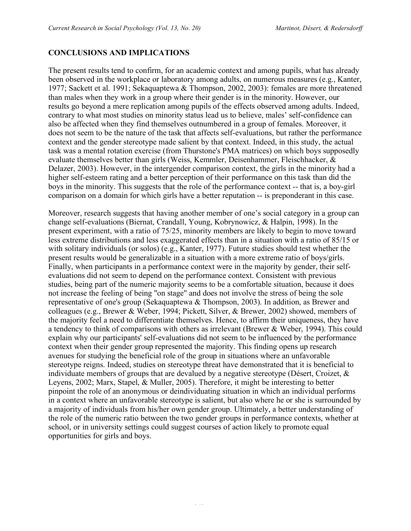## **CONCLUSIONS AND IMPLICATIONS**

The present results tend to confirm, for an academic context and among pupils, what has already been observed in the workplace or laboratory among adults, on numerous measures (e.g., Kanter, 1977; Sackett et al. 1991; Sekaquaptewa & Thompson, 2002, 2003): females are more threatened than males when they work in a group where their gender is in the minority. However, our results go beyond a mere replication among pupils of the effects observed among adults. Indeed, contrary to what most studies on minority status lead us to believe, males' self-confidence can also be affected when they find themselves outnumbered in a group of females. Moreover, it does not seem to be the nature of the task that affects self-evaluations, but rather the performance context and the gender stereotype made salient by that context. Indeed, in this study, the actual task was a mental rotation exercise (from Thurstone's PMA matrices) on which boys supposedly evaluate themselves better than girls (Weiss, Kemmler, Deisenhammer, Fleischhacker, & Delazer, 2003). However, in the intergender comparison context, the girls in the minority had a higher self-esteem rating and a better perception of their performance on this task than did the boys in the minority. This suggests that the role of the performance context -- that is, a boy-girl comparison on a domain for which girls have a better reputation -- is preponderant in this case.

Moreover, research suggests that having another member of one's social category in a group can change self-evaluations (Biernat, Crandall, Young, Kobrynowicz, & Halpin, 1998). In the present experiment, with a ratio of 75/25, minority members are likely to begin to move toward less extreme distributions and less exaggerated effects than in a situation with a ratio of 85/15 or with solitary individuals (or solos) (e.g., Kanter, 1977). Future studies should test whether the present results would be generalizable in a situation with a more extreme ratio of boys/girls. Finally, when participants in a performance context were in the majority by gender, their selfevaluations did not seem to depend on the performance context. Consistent with previous studies, being part of the numeric majority seems to be a comfortable situation, because it does not increase the feeling of being "on stage" and does not involve the stress of being the sole representative of one's group (Sekaquaptewa & Thompson, 2003). In addition, as Brewer and colleagues (e.g., Brewer & Weber, 1994; Pickett, Silver, & Brewer, 2002) showed, members of the majority feel a need to differentiate themselves. Hence, to affirm their uniqueness, they have a tendency to think of comparisons with others as irrelevant (Brewer & Weber, 1994). This could explain why our participants' self-evaluations did not seem to be influenced by the performance context when their gender group represented the majority. This finding opens up research avenues for studying the beneficial role of the group in situations where an unfavorable stereotype reigns. Indeed, studies on stereotype threat have demonstrated that it is beneficial to individuate members of groups that are devalued by a negative stereotype (Désert, Croizet, & Leyens, 2002; Marx, Stapel, & Muller, 2005). Therefore, it might be interesting to better pinpoint the role of an anonymous or deindividuating situation in which an individual performs in a context where an unfavorable stereotype is salient, but also where he or she is surrounded by a majority of individuals from his/her own gender group. Ultimately, a better understanding of the role of the numeric ratio between the two gender groups in performance contexts, whether at school, or in university settings could suggest courses of action likely to promote equal opportunities for girls and boys.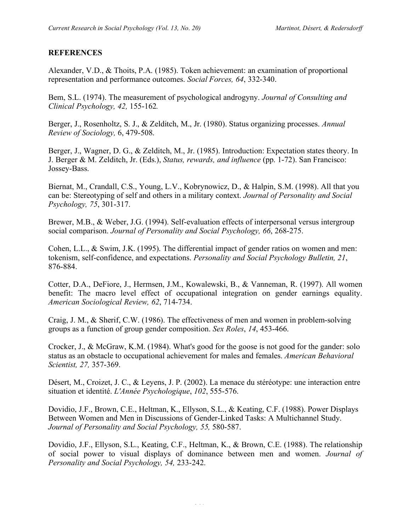#### **REFERENCES**

Alexander, V.D., & Thoits, P.A. (1985). Token achievement: an examination of proportional representation and performance outcomes. *Social Forces, 64*, 332-340.

Bem, S.L. (1974). The measurement of psychological androgyny. *Journal of Consulting and Clinical Psychology, 42,* 155-162*.*

Berger, J., Rosenholtz, S. J., & Zelditch, M., Jr. (1980). Status organizing processes. *Annual Review of Sociology,* 6, 479-508.

Berger, J., Wagner, D. G., & Zelditch, M., Jr. (1985). Introduction: Expectation states theory. In J. Berger & M. Zelditch, Jr. (Eds.), *Status, rewards, and influence* (pp. 1-72). San Francisco: Jossey-Bass.

Biernat, M., Crandall, C.S., Young, L.V., Kobrynowicz, D., & Halpin, S.M. (1998). All that you can be: Stereotyping of self and others in a military context. *Journal of Personality and Social Psychology, 75*, 301-317.

Brewer, M.B., & Weber, J.G. (1994). Self-evaluation effects of interpersonal versus intergroup social comparison. *Journal of Personality and Social Psychology, 66*, 268-275.

Cohen, L.L., & Swim, J.K. (1995). The differential impact of gender ratios on women and men: tokenism, self-confidence, and expectations. *Personality and Social Psychology Bulletin, 21*, 876-884.

Cotter, D.A., DeFiore, J., Hermsen, J.M., Kowalewski, B., & Vanneman, R. (1997). All women benefit: The macro level effect of occupational integration on gender earnings equality. *American Sociological Review, 62*, 714-734.

Craig, J. M., & Sherif, C.W. (1986). The effectiveness of men and women in problem-solving groups as a function of group gender composition. *Sex Roles*, *14*, 453-466.

Crocker, J., & McGraw, K.M. (1984). What's good for the goose is not good for the gander: solo status as an obstacle to occupational achievement for males and females. *American Behavioral Scientist, 27,* 357-369.

Désert, M., Croizet, J. C., & Leyens, J. P. (2002). La menace du stéréotype: une interaction entre situation et identité. *L'Année Psychologique*, *102*, 555-576.

Dovidio, J.F., Brown, C.E., Heltman, K., Ellyson, S.L., & Keating, C.F. (1988). Power Displays Between Women and Men in Discussions of Gender-Linked Tasks: A Multichannel Study. *Journal of Personality and Social Psychology, 55,* 580-587.

Dovidio, J.F., Ellyson, S.L., Keating, C.F., Heltman, K., & Brown, C.E. (1988). The relationship of social power to visual displays of dominance between men and women. *Journal of Personality and Social Psychology, 54,* 233-242.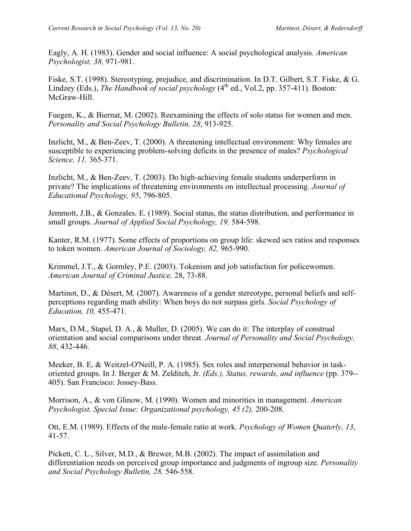Eagly, A. H. (1983). Gender and social influence: A social psychological analysis. *American Psychologist, 38,* 971-981.

Fiske, S.T. (1998). Stereotyping, prejudice, and discrimination. In D.T. Gilbert, S.T. Fiske, & G. Lindzey (Eds.), *The Handbook of social psychology*  $(4<sup>th</sup>$  ed., Vol.2, pp. 357-411). Boston: McGraw-Hill.

Fuegen, K., & Biernat, M. (2002). Reexamining the effects of solo status for women and men. *Personality and Social Psychology Bulletin, 28*, 913-925.

Inzlicht, M., & Ben-Zeev, T. (2000). A threatening intellectual environment: Why females are susceptible to experiencing problem-solving deficits in the presence of males? *Psychological Science, 11,* 365-371.

Inzlicht, M., & Ben-Zeev, T. (2003). Do high-achieving female students underperform in private? The implications of threatening environments on intellectual processing. *Journal of Educational Psychology, 95*, 796-805.

Jemmott, J.B., & Gonzales. E. (1989). Social status, the status distribution, and performance in small groups. *Journal of Applied Social Psychology, 19,* 584-598.

Kanter, R.M. (1977). Some effects of proportions on group life: skewed sex ratios and responses to token women. *American Journal of Sociology, 82,* 965-990.

Krimmel, J.T., & Gormley, P.E. (2003). Tokenism and job satisfaction for policewomen. *American Journal of Criminal Justice,* 28, 73-88.

Martinot, D., & Désert, M. (2007). Awareness of a gender stereotype, personal beliefs and selfperceptions regarding math ability: When boys do not surpass girls. *Social Psychology of Education, 10,* 455-471.

Marx, D.M., Stapel, D. A., & Muller, D. (2005). We can do it: The interplay of construal orientation and social comparisons under threat. *Journal of Personality and Social Psychology, 88*, 432-446.

Meeker, B. E, & Weitzel-O'Neill, P. A. (1985). Sex roles and interpersonal behavior in taskoriented groups. In J. Berger & M. Zelditeh, Jr. *(Eds.), Status, rewards, and influence* (pp. 379-- 405). San Francisco: Jossey-Bass.

Morrison, A., & von Glinow, M. (1990). Women and minorities in management. *American Psychologist. Special Issue: Organizational psychology, 45 (2),* 200-208.

Ott, E.M. (1989). Effects of the male-female ratio at work. *Psychology of Women Quaterly, 13*, 41-57.

Pickett, C. L., Silver, M.D., & Brewer, M.B. (2002). The impact of assimilation and differentiation needs on perceived group importance and judgments of ingroup size. *Personality and Social Psychology Bulletin, 28,* 546-558.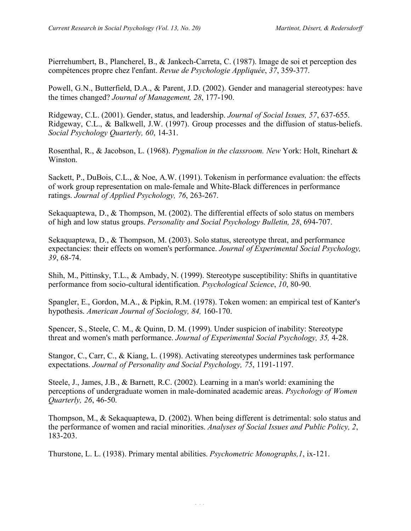Pierrehumbert, B., Plancherel, B., & Jankech-Carreta, C. (1987). Image de soi et perception des compétences propre chez l'enfant. *Revue de Psychologie Appliquée*, *37*, 359-377.

Powell, G.N., Butterfield, D.A., & Parent, J.D. (2002). Gender and managerial stereotypes: have the times changed? *Journal of Management, 28*, 177-190.

Ridgeway, C.L. (2001). Gender, status, and leadership. *Journal of Social Issues, 57*, 637-655. Ridgeway, C.L., & Balkwell, J.W. (1997). Group processes and the diffusion of status-beliefs. *Social Psychology Quarterly, 60*, 14-31.

Rosenthal, R., & Jacobson, L. (1968). *Pygmalion in the classroom. New* York: Holt, Rinehart & Winston.

Sackett, P., DuBois, C.L., & Noe, A.W. (1991). Tokenism in performance evaluation: the effects of work group representation on male-female and White-Black differences in performance ratings. *Journal of Applied Psychology, 76*, 263-267.

Sekaquaptewa, D., & Thompson, M. (2002). The differential effects of solo status on members of high and low status groups. *Personality and Social Psychology Bulletin, 28*, 694-707.

Sekaquaptewa, D., & Thompson, M. (2003). Solo status, stereotype threat, and performance expectancies: their effects on women's performance. *Journal of Experimental Social Psychology, 39*, 68-74.

Shih, M., Pittinsky, T.L., & Ambady, N. (1999). Stereotype susceptibility: Shifts in quantitative performance from socio-cultural identification. *Psychological Science*, *10*, 80-90.

Spangler, E., Gordon, M.A., & Pipkin, R.M. (1978). Token women: an empirical test of Kanter's hypothesis. *American Journal of Sociology, 84,* 160-170.

Spencer, S., Steele, C. M., & Quinn, D. M. (1999). Under suspicion of inability: Stereotype threat and women's math performance. *Journal of Experimental Social Psychology, 35,* 4-28.

Stangor, C., Carr, C., & Kiang, L. (1998). Activating stereotypes undermines task performance expectations. *Journal of Personality and Social Psychology, 75*, 1191-1197.

Steele, J., James, J.B., & Barnett, R.C. (2002). Learning in a man's world: examining the perceptions of undergraduate women in male-dominated academic areas. *Psychology of Women Quarterly, 26*, 46-50.

Thompson, M., & Sekaquaptewa, D. (2002). When being different is detrimental: solo status and the performance of women and racial minorities. *Analyses of Social Issues and Public Policy, 2*, 183-203.

Thurstone, L. L. (1938). Primary mental abilities. *Psychometric Monographs,1*, ix-121.